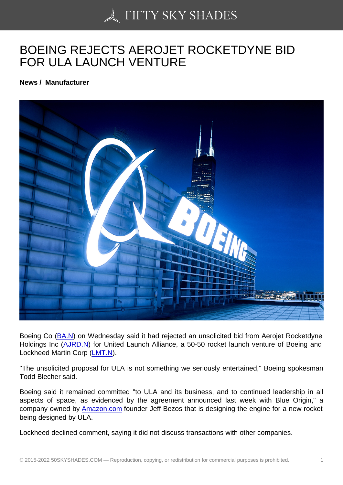## [BOEING REJECTS AE](https://50skyshades.com)ROJET ROCKETDYNE BID FOR ULA LAUNCH VENTURE

News / Manufacturer

Boeing Co (BA.N) on Wednesday said it had rejected an unsolicited bid from Aerojet Rocketdyne Holdings Inc (AJRD.N) for United Launch Alliance, a 50-50 rocket launch venture of Boeing and Lockheed Martin Corp (LMT.N).

"The unsoli[cited](http://www.reuters.com/finance/stocks/overview?symbol=BA.N) [propo](http://www.reuters.com/finance/stocks/overview?symbol=AJRD.N)sal for ULA is not something we seriously entertained," Boeing spokesman Todd Blecher said.

Boeing said it remained committed "to ULA and its business, and to continued leadership in all aspects of space, as evidenced by the agreement announced last week with Blue Origin," a company owned by Amazon.com founder Jeff Bezos that is designing the engine for a new rocket being designed by ULA.

Lockheed declined [comment, say](http://amazon.com/)ing it did not discuss transactions with other companies.